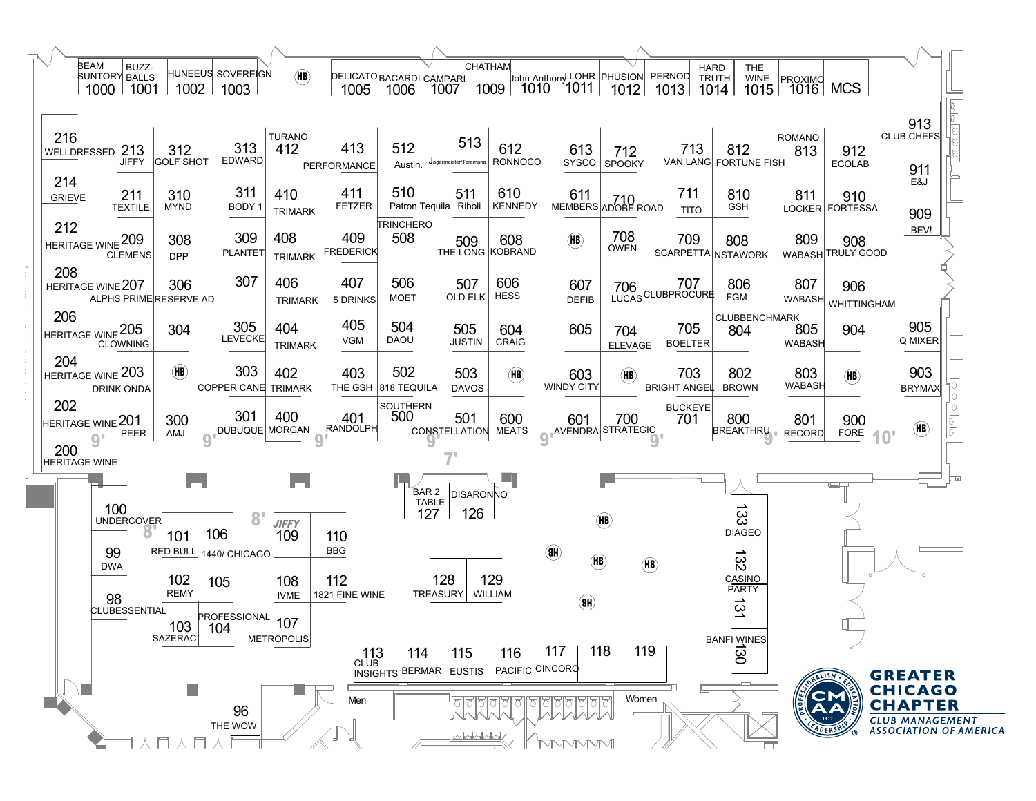